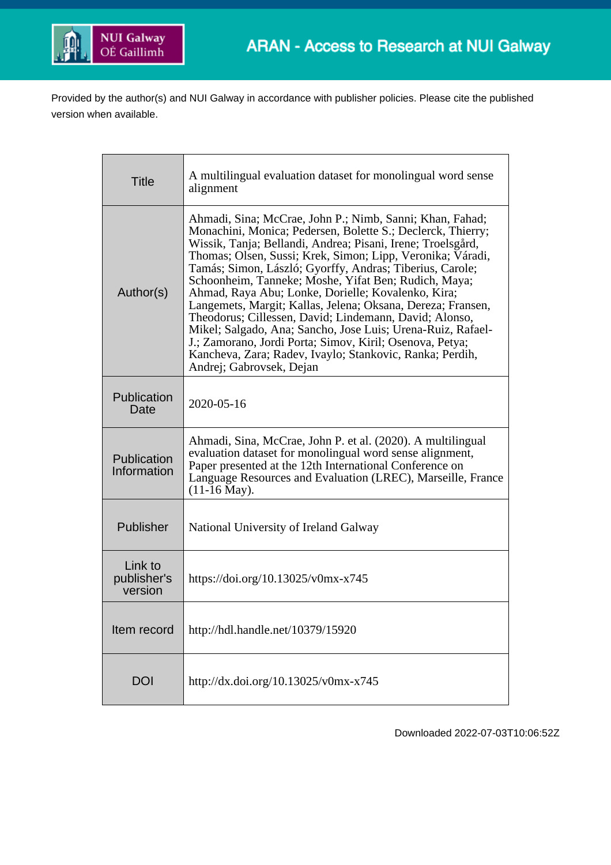

Provided by the author(s) and NUI Galway in accordance with publisher policies. Please cite the published version when available.

| <b>Title</b>                      | A multilingual evaluation dataset for monolingual word sense<br>alignment                                                                                                                                                                                                                                                                                                                                                                                                                                                                                                                                                                                                                                                                                                  |
|-----------------------------------|----------------------------------------------------------------------------------------------------------------------------------------------------------------------------------------------------------------------------------------------------------------------------------------------------------------------------------------------------------------------------------------------------------------------------------------------------------------------------------------------------------------------------------------------------------------------------------------------------------------------------------------------------------------------------------------------------------------------------------------------------------------------------|
| Author(s)                         | Ahmadi, Sina; McCrae, John P.; Nimb, Sanni; Khan, Fahad;<br>Monachini, Monica; Pedersen, Bolette S.; Declerck, Thierry;<br>Wissik, Tanja; Bellandi, Andrea; Pisani, Irene; Troelsgård,<br>Thomas; Olsen, Sussi; Krek, Simon; Lipp, Veronika; Váradi,<br>Tamás; Simon, László; Gyorffy, Andras; Tiberius, Carole;<br>Schoonheim, Tanneke; Moshe, Yifat Ben; Rudich, Maya;<br>Ahmad, Raya Abu; Lonke, Dorielle; Kovalenko, Kira;<br>Langemets, Margit; Kallas, Jelena; Oksana, Dereza; Fransen,<br>Theodorus; Cillessen, David; Lindemann, David; Alonso,<br>Mikel; Salgado, Ana; Sancho, Jose Luis; Urena-Ruiz, Rafael-<br>J.; Zamorano, Jordi Porta; Simov, Kiril; Osenova, Petya;<br>Kancheva, Zara; Radev, Ivaylo; Stankovic, Ranka; Perdih,<br>Andrej; Gabrovsek, Dejan |
| Publication<br>Date               | 2020-05-16                                                                                                                                                                                                                                                                                                                                                                                                                                                                                                                                                                                                                                                                                                                                                                 |
| Publication<br>Information        | Ahmadi, Sina, McCrae, John P. et al. (2020). A multilingual<br>evaluation dataset for monolingual word sense alignment,<br>Paper presented at the 12th International Conference on<br>Language Resources and Evaluation (LREC), Marseille, France<br>$(11-16$ May).                                                                                                                                                                                                                                                                                                                                                                                                                                                                                                        |
| Publisher                         | National University of Ireland Galway                                                                                                                                                                                                                                                                                                                                                                                                                                                                                                                                                                                                                                                                                                                                      |
| Link to<br>publisher's<br>version | https://doi.org/10.13025/v0mx-x745                                                                                                                                                                                                                                                                                                                                                                                                                                                                                                                                                                                                                                                                                                                                         |
| Item record                       | http://hdl.handle.net/10379/15920                                                                                                                                                                                                                                                                                                                                                                                                                                                                                                                                                                                                                                                                                                                                          |
| <b>DOI</b>                        | http://dx.doi.org/10.13025/v0mx-x745                                                                                                                                                                                                                                                                                                                                                                                                                                                                                                                                                                                                                                                                                                                                       |

Downloaded 2022-07-03T10:06:52Z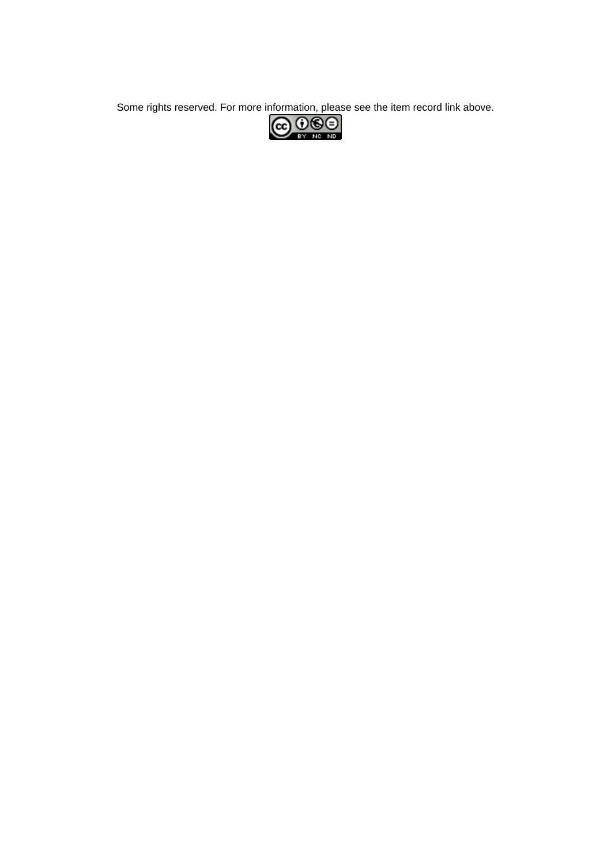Some rights reserved. For more information, please see the item record link above.<br>  $\overline{\text{CO}}$   $\overline{\text{O}}$   $\overline{\text{O}}$   $\overline{\text{O}}$ 

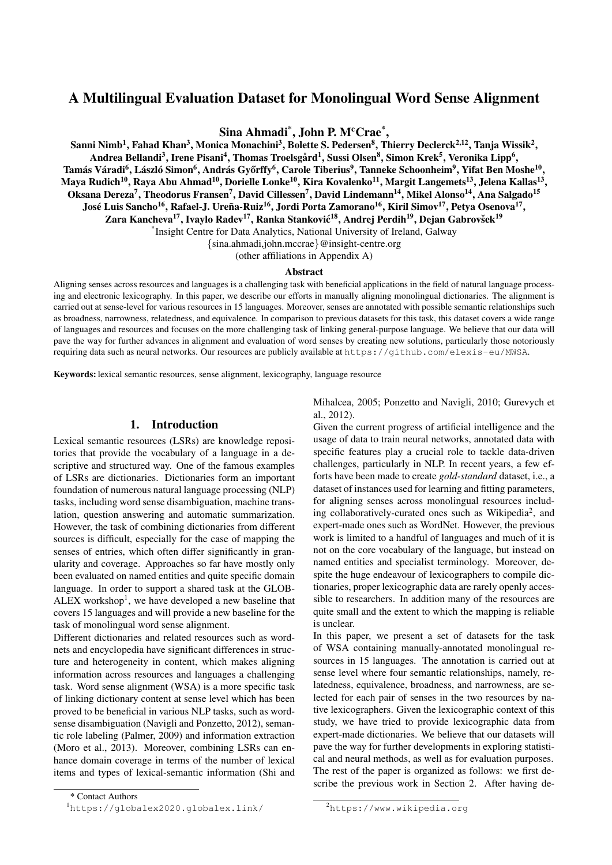# A Multilingual Evaluation Dataset for Monolingual Word Sense Alignment

Sina Ahmadi<sup>\*</sup>, John P. M<sup>c</sup>Crae<sup>\*</sup>,

Sanni Nimb<sup>1</sup>, Fahad Khan<sup>3</sup>, Monica Monachini<sup>3</sup>, Bolette S. Pedersen<sup>8</sup>, Thierry Declerck<sup>2,12</sup>, Tanja Wissik<sup>2</sup>, Andrea Bellandi<sup>3</sup>, Irene Pisani<sup>4</sup>, Thomas Troelsgård<sup>1</sup>, Sussi Olsen<sup>8</sup>, Simon Krek<sup>5</sup>, Veronika Lipp<sup>6</sup>, Tamás Váradi<sup>6</sup>, László Simon<sup>6</sup>, András Győrffy<sup>6</sup>, Carole Tiberius<sup>9</sup>, Tanneke Schoonheim<sup>9</sup>, Yifat Ben Moshe<sup>10</sup>, Maya Rudich<sup>10</sup>, Raya Abu Ahmad<sup>10</sup>, Dorielle Lonke<sup>10</sup>, Kira Kovalenko<sup>11</sup>, Margit Langemets<sup>13</sup>, Jelena Kallas<sup>13</sup>, Oksana Dereza<sup>7</sup>, Theodorus Fransen<sup>7</sup>, David Cillessen<sup>7</sup>, David Lindemann<sup>14</sup>, Mikel Alonso<sup>14</sup>, Ana Salgado<sup>15</sup> José Luis Sancho<sup>16</sup>, Rafael-J. Ureña-Ruiz<sup>16</sup>, Jordi Porta Zamorano<sup>16</sup>, Kiril Simov<sup>17</sup>, Petya Osenova<sup>17</sup>, Zara Kancheva<sup>17</sup>, Ivaylo Radev<sup>17</sup>, Ranka Stanković<sup>18</sup>, Andrej Perdih<sup>19</sup>, Dejan Gabrovšek<sup>19</sup>

\* Insight Centre for Data Analytics, National University of Ireland, Galway

{sina.ahmadi,john.mccrae}@insight-centre.org

(other affiliations in Appendix [A\)](#page-12-0)

#### Abstract

Aligning senses across resources and languages is a challenging task with beneficial applications in the field of natural language processing and electronic lexicography. In this paper, we describe our efforts in manually aligning monolingual dictionaries. The alignment is carried out at sense-level for various resources in 15 languages. Moreover, senses are annotated with possible semantic relationships such as broadness, narrowness, relatedness, and equivalence. In comparison to previous datasets for this task, this dataset covers a wide range of languages and resources and focuses on the more challenging task of linking general-purpose language. We believe that our data will pave the way for further advances in alignment and evaluation of word senses by creating new solutions, particularly those notoriously requiring data such as neural networks. Our resources are publicly available at <https://github.com/elexis-eu/MWSA>.

Keywords: lexical semantic resources, sense alignment, lexicography, language resource

### 1. Introduction

Lexical semantic resources (LSRs) are knowledge repositories that provide the vocabulary of a language in a descriptive and structured way. One of the famous examples of LSRs are dictionaries. Dictionaries form an important foundation of numerous natural language processing (NLP) tasks, including word sense disambiguation, machine translation, question answering and automatic summarization. However, the task of combining dictionaries from different sources is difficult, especially for the case of mapping the senses of entries, which often differ significantly in granularity and coverage. Approaches so far have mostly only been evaluated on named entities and quite specific domain language. In order to support a shared task at the GLOB- $ALEX$  workshop<sup>[1](#page-2-0)</sup>, we have developed a new baseline that covers 15 languages and will provide a new baseline for the task of monolingual word sense alignment.

Different dictionaries and related resources such as wordnets and encyclopedia have significant differences in structure and heterogeneity in content, which makes aligning information across resources and languages a challenging task. Word sense alignment (WSA) is a more specific task of linking dictionary content at sense level which has been proved to be beneficial in various NLP tasks, such as wordsense disambiguation [\(Navigli and Ponzetto, 2012\)](#page-11-0), semantic role labeling [\(Palmer, 2009\)](#page-11-1) and information extraction [\(Moro et al., 2013\)](#page-11-2). Moreover, combining LSRs can enhance domain coverage in terms of the number of lexical items and types of lexical-semantic information [\(Shi and](#page-11-3) [Mihalcea, 2005;](#page-11-3) [Ponzetto and Navigli, 2010;](#page-11-4) [Gurevych et](#page-10-0) [al., 2012\)](#page-10-0).

Given the current progress of artificial intelligence and the usage of data to train neural networks, annotated data with specific features play a crucial role to tackle data-driven challenges, particularly in NLP. In recent years, a few efforts have been made to create *gold-standard* dataset, i.e., a dataset of instances used for learning and fitting parameters, for aligning senses across monolingual resources includ-ing collaboratively-curated ones such as Wikipedia<sup>[2](#page-2-1)</sup>, and expert-made ones such as WordNet. However, the previous work is limited to a handful of languages and much of it is not on the core vocabulary of the language, but instead on named entities and specialist terminology. Moreover, despite the huge endeavour of lexicographers to compile dictionaries, proper lexicographic data are rarely openly accessible to researchers. In addition many of the resources are quite small and the extent to which the mapping is reliable is unclear.

In this paper, we present a set of datasets for the task of WSA containing manually-annotated monolingual resources in 15 languages. The annotation is carried out at sense level where four semantic relationships, namely, relatedness, equivalence, broadness, and narrowness, are selected for each pair of senses in the two resources by native lexicographers. Given the lexicographic context of this study, we have tried to provide lexicographic data from expert-made dictionaries. We believe that our datasets will pave the way for further developments in exploring statistical and neural methods, as well as for evaluation purposes. The rest of the paper is organized as follows: we first describe the previous work in Section [2.](#page-3-0) After having de-

<span id="page-2-0"></span>[<sup>\\*</sup> Contact Authors](#page-11-3) <sup>1</sup>[https://globalex2020.globalex.link/](#page-11-3)

<span id="page-2-1"></span><sup>2</sup><https://www.wikipedia.org>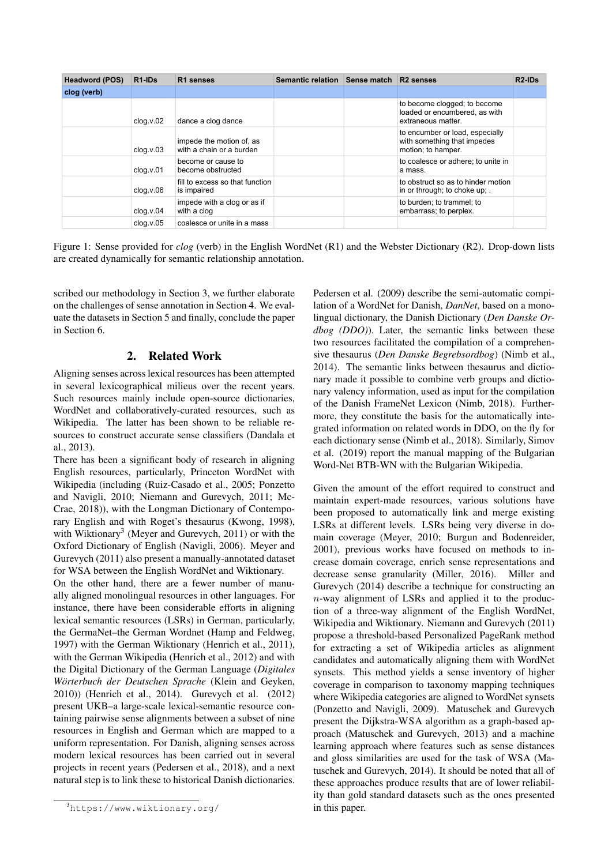<span id="page-3-3"></span>

| <b>Headword (POS)</b> | R <sub>1</sub> -ID <sub>s</sub> | R <sub>1</sub> senses                                | Semantic relation | <b>Sense match</b> | R <sub>2</sub> senses                                                                | R <sub>2</sub> -ID <sub>s</sub> |
|-----------------------|---------------------------------|------------------------------------------------------|-------------------|--------------------|--------------------------------------------------------------------------------------|---------------------------------|
| clog (verb)           |                                 |                                                      |                   |                    |                                                                                      |                                 |
|                       | clog.v.02                       | dance a clog dance                                   |                   |                    | to become clogged; to become<br>loaded or encumbered, as with<br>extraneous matter.  |                                 |
|                       | clog.v.03                       | impede the motion of, as<br>with a chain or a burden |                   |                    | to encumber or load, especially<br>with something that impedes<br>motion; to hamper. |                                 |
|                       | clog.v.01                       | become or cause to<br>become obstructed              |                   |                    | to coalesce or adhere; to unite in<br>a mass.                                        |                                 |
|                       | clog.v.06                       | fill to excess so that function<br>is impaired       |                   |                    | to obstruct so as to hinder motion<br>in or through; to choke up; .                  |                                 |
|                       | clog.v.04                       | impede with a clog or as if<br>with a clog           |                   |                    | to burden; to trammel; to<br>embarrass; to perplex.                                  |                                 |
|                       | clog.v.05                       | coalesce or unite in a mass                          |                   |                    |                                                                                      |                                 |

Figure 1: Sense provided for *clog* (verb) in the English WordNet (R1) and the Webster Dictionary (R2). Drop-down lists are created dynamically for semantic relationship annotation.

scribed our methodology in Section [3,](#page-3-1) we further elaborate on the challenges of sense annotation in Section [4.](#page-6-0) We evaluate the datasets in Section [5](#page-7-0) and finally, conclude the paper in Section [6.](#page-9-0)

### 2. Related Work

<span id="page-3-0"></span>Aligning senses across lexical resources has been attempted in several lexicographical milieus over the recent years. Such resources mainly include open-source dictionaries, WordNet and collaboratively-curated resources, such as Wikipedia. The latter has been shown to be reliable resources to construct accurate sense classifiers [\(Dandala et](#page-10-1) [al., 2013\)](#page-10-1).

There has been a significant body of research in aligning English resources, particularly, Princeton WordNet with Wikipedia (including [\(Ruiz-Casado et al., 2005;](#page-11-5) [Ponzetto](#page-11-4) [and Navigli, 2010;](#page-11-4) [Niemann and Gurevych, 2011;](#page-11-6) [Mc-](#page-10-2)[Crae, 2018\)](#page-10-2)), with the Longman Dictionary of Contemporary English and with Roget's thesaurus [\(Kwong, 1998\)](#page-10-3), with Wiktionary<sup>[3](#page-3-2)</sup> [\(Meyer and Gurevych, 2011\)](#page-10-4) or with the Oxford Dictionary of English [\(Navigli, 2006\)](#page-11-7). [Meyer and](#page-10-4) [Gurevych \(2011\)](#page-10-4) also present a manually-annotated dataset for WSA between the English WordNet and Wiktionary.

On the other hand, there are a fewer number of manually aligned monolingual resources in other languages. For instance, there have been considerable efforts in aligning lexical semantic resources (LSRs) in German, particularly, the GermaNet–the German Wordnet [\(Hamp and Feldweg,](#page-10-5) [1997\)](#page-10-5) with the German Wiktionary [\(Henrich et al., 2011\)](#page-10-6), with the German Wikipedia [\(Henrich et al., 2012\)](#page-10-7) and with the Digital Dictionary of the German Language (*Digitales Wörterbuch der Deutschen Sprache* [\(Klein and Geyken,](#page-10-8) [2010\)](#page-10-8)) [\(Henrich et al., 2014\)](#page-10-9). [Gurevych et al. \(2012\)](#page-10-0) present UKB–a large-scale lexical-semantic resource containing pairwise sense alignments between a subset of nine resources in English and German which are mapped to a uniform representation. For Danish, aligning senses across modern lexical resources has been carried out in several projects in recent years [\(Pedersen et al., 2018\)](#page-11-8), and a next natural step is to link these to historical Danish dictionaries.

[Pedersen et al. \(2009\)](#page-11-9) describe the semi-automatic compilation of a WordNet for Danish, *DanNet*, based on a monolingual dictionary, the Danish Dictionary (*Den Danske Ordbog (DDO)*). Later, the semantic links between these two resources facilitated the compilation of a comprehensive thesaurus (*Den Danske Begrebsordbog*) [\(Nimb et al.,](#page-11-10) [2014\)](#page-11-10). The semantic links between thesaurus and dictionary made it possible to combine verb groups and dictionary valency information, used as input for the compilation of the Danish FrameNet Lexicon [\(Nimb, 2018\)](#page-11-11). Furthermore, they constitute the basis for the automatically integrated information on related words in DDO, on the fly for each dictionary sense [\(Nimb et al., 2018\)](#page-11-12). Similarly, [Simov](#page-12-1) [et al. \(2019\)](#page-12-1) report the manual mapping of the Bulgarian Word-Net BTB-WN with the Bulgarian Wikipedia.

Given the amount of the effort required to construct and maintain expert-made resources, various solutions have been proposed to automatically link and merge existing LSRs at different levels. LSRs being very diverse in domain coverage [\(Meyer, 2010;](#page-10-10) [Burgun and Bodenreider,](#page-10-11) [2001\)](#page-10-11), previous works have focused on methods to increase domain coverage, enrich sense representations and decrease sense granularity [\(Miller, 2016\)](#page-11-13). [Miller and](#page-11-14) [Gurevych \(2014\)](#page-11-14) describe a technique for constructing an n-way alignment of LSRs and applied it to the production of a three-way alignment of the English WordNet, Wikipedia and Wiktionary. [Niemann and Gurevych \(2011\)](#page-11-6) propose a threshold-based Personalized PageRank method for extracting a set of Wikipedia articles as alignment candidates and automatically aligning them with WordNet synsets. This method yields a sense inventory of higher coverage in comparison to taxonomy mapping techniques where Wikipedia categories are aligned to WordNet synsets [\(Ponzetto and Navigli, 2009\)](#page-11-15). Matuschek and Gurevych present the Dijkstra-WSA algorithm as a graph-based approach [\(Matuschek and Gurevych, 2013\)](#page-10-12) and a machine learning approach where features such as sense distances and gloss similarities are used for the task of WSA [\(Ma](#page-10-13)[tuschek and Gurevych, 2014\)](#page-10-13). It should be noted that all of these approaches produce results that are of lower reliability than gold standard datasets such as the ones presented in this paper.

<span id="page-3-2"></span><span id="page-3-1"></span><sup>3</sup><https://www.wiktionary.org/>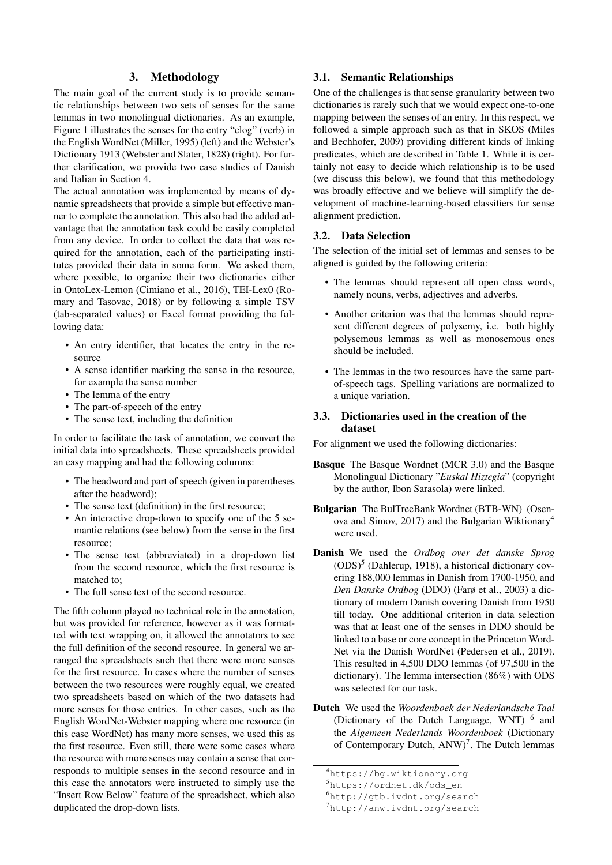### 3. Methodology

The main goal of the current study is to provide semantic relationships between two sets of senses for the same lemmas in two monolingual dictionaries. As an example, Figure [1](#page-3-3) illustrates the senses for the entry "clog" (verb) in the English WordNet [\(Miller, 1995\)](#page-11-16) (left) and the Webster's Dictionary 1913 [\(Webster and Slater, 1828\)](#page-12-2) (right). For further clarification, we provide two case studies of Danish and Italian in Section [4.](#page-6-0)

The actual annotation was implemented by means of dynamic spreadsheets that provide a simple but effective manner to complete the annotation. This also had the added advantage that the annotation task could be easily completed from any device. In order to collect the data that was required for the annotation, each of the participating institutes provided their data in some form. We asked them, where possible, to organize their two dictionaries either in OntoLex-Lemon [\(Cimiano et al., 2016\)](#page-10-14), TEI-Lex0 [\(Ro](#page-11-17)[mary and Tasovac, 2018\)](#page-11-17) or by following a simple TSV (tab-separated values) or Excel format providing the following data:

- An entry identifier, that locates the entry in the resource
- A sense identifier marking the sense in the resource, for example the sense number
- The lemma of the entry
- The part-of-speech of the entry
- The sense text, including the definition

In order to facilitate the task of annotation, we convert the initial data into spreadsheets. These spreadsheets provided an easy mapping and had the following columns:

- The headword and part of speech (given in parentheses after the headword);
- The sense text (definition) in the first resource;
- An interactive drop-down to specify one of the 5 semantic relations (see below) from the sense in the first resource;
- The sense text (abbreviated) in a drop-down list from the second resource, which the first resource is matched to;
- The full sense text of the second resource.

The fifth column played no technical role in the annotation, but was provided for reference, however as it was formatted with text wrapping on, it allowed the annotators to see the full definition of the second resource. In general we arranged the spreadsheets such that there were more senses for the first resource. In cases where the number of senses between the two resources were roughly equal, we created two spreadsheets based on which of the two datasets had more senses for those entries. In other cases, such as the English WordNet-Webster mapping where one resource (in this case WordNet) has many more senses, we used this as the first resource. Even still, there were some cases where the resource with more senses may contain a sense that corresponds to multiple senses in the second resource and in this case the annotators were instructed to simply use the "Insert Row Below" feature of the spreadsheet, which also duplicated the drop-down lists.

### 3.1. Semantic Relationships

One of the challenges is that sense granularity between two dictionaries is rarely such that we would expect one-to-one mapping between the senses of an entry. In this respect, we followed a simple approach such as that in SKOS [\(Miles](#page-10-15) [and Bechhofer, 2009\)](#page-10-15) providing different kinds of linking predicates, which are described in Table [1.](#page-5-0) While it is certainly not easy to decide which relationship is to be used (we discuss this below), we found that this methodology was broadly effective and we believe will simplify the development of machine-learning-based classifiers for sense alignment prediction.

#### 3.2. Data Selection

The selection of the initial set of lemmas and senses to be aligned is guided by the following criteria:

- The lemmas should represent all open class words, namely nouns, verbs, adjectives and adverbs.
- Another criterion was that the lemmas should represent different degrees of polysemy, i.e. both highly polysemous lemmas as well as monosemous ones should be included.
- The lemmas in the two resources have the same partof-speech tags. Spelling variations are normalized to a unique variation.

#### 3.3. Dictionaries used in the creation of the dataset

For alignment we used the following dictionaries:

- Basque The Basque Wordnet (MCR 3.0) and the Basque Monolingual Dictionary "*Euskal Hiztegia*" (copyright by the author, Ibon Sarasola) were linked.
- Bulgarian The BulTreeBank Wordnet (BTB-WN) [\(Osen](#page-11-18)[ova and Simov, 2017\)](#page-11-18) and the Bulgarian Wiktionary<sup>[4](#page-4-0)</sup> were used.
- Danish We used the *Ordbog over det danske Sprog*  $(ODS)$ <sup>[5](#page-4-1)</sup> [\(Dahlerup, 1918\)](#page-10-16), a historical dictionary covering 188,000 lemmas in Danish from 1700-1950, and *Den Danske Ordbog* (DDO) [\(Farø et al., 2003\)](#page-10-17) a dictionary of modern Danish covering Danish from 1950 till today. One additional criterion in data selection was that at least one of the senses in DDO should be linked to a base or core concept in the Princeton Word-Net via the Danish WordNet [\(Pedersen et al., 2019\)](#page-11-19). This resulted in 4,500 DDO lemmas (of 97,500 in the dictionary). The lemma intersection (86%) with ODS was selected for our task.
- Dutch We used the *Woordenboek der Nederlandsche Taal* (Dictionary of the Dutch Language, WNT) <sup>[6](#page-4-2)</sup> and the *Algemeen Nederlands Woordenboek* (Dictionary of Contemporary Dutch, ANW)<sup>[7](#page-4-3)</sup>. The Dutch lemmas

<span id="page-4-0"></span><sup>4</sup><https://bg.wiktionary.org>

<span id="page-4-1"></span><sup>5</sup>[https://ordnet.dk/ods\\_en](https://ordnet.dk/ods_en)

<span id="page-4-3"></span><span id="page-4-2"></span><sup>6</sup><http://gtb.ivdnt.org/search>

<sup>7</sup><http://anw.ivdnt.org/search>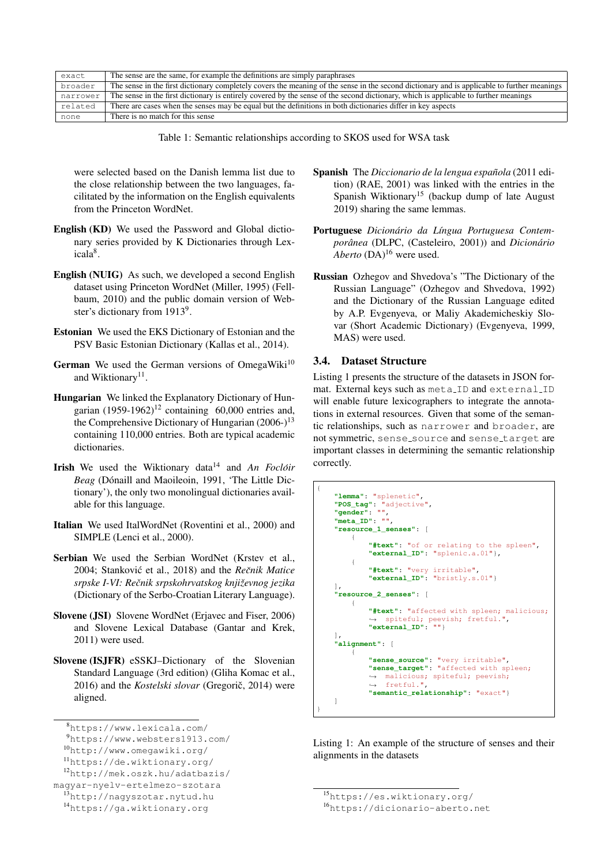<span id="page-5-0"></span>

| exact    | The sense are the same, for example the definitions are simply paraphrases                                                                  |
|----------|---------------------------------------------------------------------------------------------------------------------------------------------|
| broader  | The sense in the first dictionary completely covers the meaning of the sense in the second dictionary and is applicable to further meanings |
| narrower | The sense in the first dictionary is entirely covered by the sense of the second dictionary, which is applicable to further meanings        |
| related  | There are cases when the senses may be equal but the definitions in both dictionaries differ in key aspects                                 |
| none     | There is no match for this sense                                                                                                            |

Table 1: Semantic relationships according to SKOS used for WSA task

were selected based on the Danish lemma list due to the close relationship between the two languages, facilitated by the information on the English equivalents from the Princeton WordNet.

- English (KD) We used the Password and Global dictionary series provided by K Dictionaries through Lex-icala<sup>[8](#page-5-1)</sup>.
- English (NUIG) As such, we developed a second English dataset using Princeton WordNet [\(Miller, 1995\)](#page-11-16) [\(Fell](#page-10-18)[baum, 2010\)](#page-10-18) and the public domain version of Web-ster's dictionary from 1[9](#page-5-2)13<sup>9</sup>.
- Estonian We used the EKS Dictionary of Estonian and the PSV Basic Estonian Dictionary [\(Kallas et al., 2014\)](#page-10-19).
- German We used the German versions of OmegaWiki $10$ and Wiktionary<sup>[11](#page-5-4)</sup>.
- Hungarian We linked the Explanatory Dictionary of Hungarian  $(1959-1962)^{12}$  $(1959-1962)^{12}$  $(1959-1962)^{12}$  containing 60,000 entries and, the Comprehensive Dictionary of Hungarian  $(2006-)$ <sup>[13](#page-5-6)</sup> containing 110,000 entries. Both are typical academic dictionaries.
- Irish We used the Wiktionary data[14](#page-5-7) and *An Focloir ´ Beag* (Dónaill and Maoileoin, 1991, 'The Little Dictionary'), the only two monolingual dictionaries available for this language.
- Italian We used ItalWordNet [\(Roventini et al., 2000\)](#page-11-20) and SIMPLE [\(Lenci et al., 2000\)](#page-10-21).
- Serbian We used the Serbian WordNet [\(Krstev et al.,](#page-10-22) [2004;](#page-10-22) Stanković et al., 2018) and the Rečnik Matice *srpske I-VI: Recnik srpskohrvatskog knji ˇ zevnog jezika ˇ* (Dictionary of the Serbo-Croatian Literary Language).
- Slovene (JSI) Slovene WordNet [\(Erjavec and Fiser, 2006\)](#page-10-23) and Slovene Lexical Database [\(Gantar and Krek,](#page-10-24) [2011\)](#page-10-24) were used.
- Slovene (ISJFR) eSSKJ–Dictionary of the Slovenian Standard Language (3rd edition) [\(Gliha Komac et al.,](#page-10-25) [2016\)](#page-10-25) and the *Kostelski slovar* (Gregorič, 2014) were aligned.
- Spanish The *Diccionario de la lengua española* (2011 edition) [\(RAE, 2001\)](#page-11-21) was linked with the entries in the Spanish Wiktionary[15](#page-5-8) (backup dump of late August 2019) sharing the same lemmas.
- Portuguese Dicionário da Língua Portuguesa Contem*porânea* (DLPC, [\(Casteleiro, 2001\)](#page-10-27)) and *Dicionário Aberto* (DA)<sup>[16](#page-5-9)</sup> were used.
- Russian Ozhegov and Shvedova's "The Dictionary of the Russian Language" [\(Ozhegov and Shvedova, 1992\)](#page-11-22) and the Dictionary of the Russian Language edited by A.P. Evgenyeva, or Maliy Akademicheskiy Slovar (Short Academic Dictionary) [\(Evgenyeva, 1999,](#page-10-28) MAS) were used.

#### 3.4. Dataset Structure

Listing [1](#page-5-10) presents the structure of the datasets in JSON format. External keys such as meta ID and external ID will enable future lexicographers to integrate the annotations in external resources. Given that some of the semantic relationships, such as narrower and broader, are not symmetric, sense\_source and sense\_target are important classes in determining the semantic relationship correctly.

Listing 1: An example of the structure of senses and their alignments in the datasets

<span id="page-5-1"></span><sup>8</sup><https://www.lexicala.com/>

<span id="page-5-2"></span><sup>9</sup><https://www.websters1913.com/>

<span id="page-5-3"></span><sup>10</sup><http://www.omegawiki.org/>

<span id="page-5-5"></span><span id="page-5-4"></span><sup>11</sup><https://de.wiktionary.org/>

<sup>12</sup>[http://mek.oszk.hu/adatbazis/]( http://mek.oszk.hu/adatbazis/magyar-nyelv-ertelmezo-szotara)

[magyar-nyelv-ertelmezo-szotara]( http://mek.oszk.hu/adatbazis/magyar-nyelv-ertelmezo-szotara)

<span id="page-5-6"></span><sup>13</sup>[http://nagyszotar.nytud.hu]( http://nagyszotar.nytud.hu)

<span id="page-5-7"></span><sup>14</sup><https://ga.wiktionary.org>

<span id="page-5-10"></span><sup>{</sup> **"lemma"**: "splenetic", **"POS\_tag"**: "adjective", **"gender"**: "", **"meta\_ID"**: "", **"resource\_1\_senses"**: [ { **"#text"**: "of or relating to the spleen", **"external\_ID"**: "splenic.a.01"}, { **"#text"**: "very irritable", **"external\_ID"**: "bristly.s.01"} ], **"resource\_2\_senses"**: [ { **"#text"**: "affected with spleen; malicious; ,→ spiteful; peevish; fretful.", **"external\_ID"**: ""} ], **"alignment"**: [ { **"sense\_source"**: "very irritable", **"sense\_target"**: "affected with spleen; → malicious; spiteful; peevish; fretful.", ,→ **"semantic\_relationship"**: "exact"} ] }

<span id="page-5-8"></span><sup>15</sup><https://es.wiktionary.org/>

<span id="page-5-9"></span><sup>16</sup><https://dicionario-aberto.net>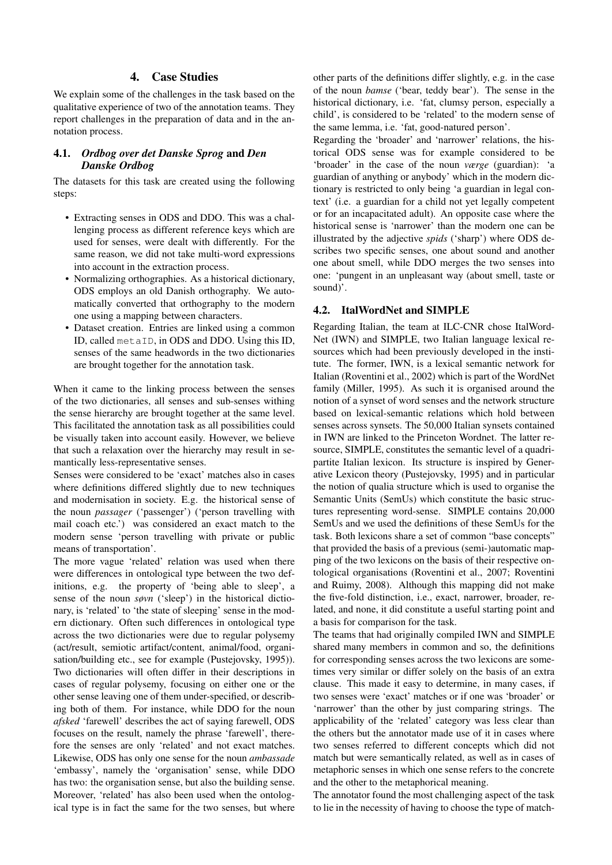### 4. Case Studies

<span id="page-6-0"></span>We explain some of the challenges in the task based on the qualitative experience of two of the annotation teams. They report challenges in the preparation of data and in the annotation process.

### 4.1. *Ordbog over det Danske Sprog* and *Den Danske Ordbog*

The datasets for this task are created using the following steps:

- Extracting senses in ODS and DDO. This was a challenging process as different reference keys which are used for senses, were dealt with differently. For the same reason, we did not take multi-word expressions into account in the extraction process.
- Normalizing orthographies. As a historical dictionary, ODS employs an old Danish orthography. We automatically converted that orthography to the modern one using a mapping between characters.
- Dataset creation. Entries are linked using a common ID, called metaID, in ODS and DDO. Using this ID, senses of the same headwords in the two dictionaries are brought together for the annotation task.

When it came to the linking process between the senses of the two dictionaries, all senses and sub-senses withing the sense hierarchy are brought together at the same level. This facilitated the annotation task as all possibilities could be visually taken into account easily. However, we believe that such a relaxation over the hierarchy may result in semantically less-representative senses.

Senses were considered to be 'exact' matches also in cases where definitions differed slightly due to new techniques and modernisation in society. E.g. the historical sense of the noun *passager* ('passenger') ('person travelling with mail coach etc.') was considered an exact match to the modern sense 'person travelling with private or public means of transportation'.

The more vague 'related' relation was used when there were differences in ontological type between the two definitions, e.g. the property of 'being able to sleep', a sense of the noun *søvn* ('sleep') in the historical dictionary, is 'related' to 'the state of sleeping' sense in the modern dictionary. Often such differences in ontological type across the two dictionaries were due to regular polysemy (act/result, semiotic artifact/content, animal/food, organisation/building etc., see for example [\(Pustejovsky, 1995\)](#page-11-23)). Two dictionaries will often differ in their descriptions in cases of regular polysemy, focusing on either one or the other sense leaving one of them under-specified, or describing both of them. For instance, while DDO for the noun *afsked* 'farewell' describes the act of saying farewell, ODS focuses on the result, namely the phrase 'farewell', therefore the senses are only 'related' and not exact matches. Likewise, ODS has only one sense for the noun *ambassade* 'embassy', namely the 'organisation' sense, while DDO has two: the organisation sense, but also the building sense. Moreover, 'related' has also been used when the ontological type is in fact the same for the two senses, but where other parts of the definitions differ slightly, e.g. in the case of the noun *bamse* ('bear, teddy bear'). The sense in the historical dictionary, i.e. 'fat, clumsy person, especially a child', is considered to be 'related' to the modern sense of the same lemma, i.e. 'fat, good-natured person'.

Regarding the 'broader' and 'narrower' relations, the historical ODS sense was for example considered to be 'broader' in the case of the noun *værge* (guardian): 'a guardian of anything or anybody' which in the modern dictionary is restricted to only being 'a guardian in legal context' (i.e. a guardian for a child not yet legally competent or for an incapacitated adult). An opposite case where the historical sense is 'narrower' than the modern one can be illustrated by the adjective *spids* ('sharp') where ODS describes two specific senses, one about sound and another one about smell, while DDO merges the two senses into one: 'pungent in an unpleasant way (about smell, taste or sound)'.

#### 4.2. ItalWordNet and SIMPLE

Regarding Italian, the team at ILC-CNR chose ItalWord-Net (IWN) and SIMPLE, two Italian language lexical resources which had been previously developed in the institute. The former, IWN, is a lexical semantic network for Italian [\(Roventini et al., 2002\)](#page-11-24) which is part of the WordNet family [\(Miller, 1995\)](#page-11-16). As such it is organised around the notion of a synset of word senses and the network structure based on lexical-semantic relations which hold between senses across synsets. The 50,000 Italian synsets contained in IWN are linked to the Princeton Wordnet. The latter resource, SIMPLE, constitutes the semantic level of a quadripartite Italian lexicon. Its structure is inspired by Generative Lexicon theory (Pustejovsky, 1995) and in particular the notion of qualia structure which is used to organise the Semantic Units (SemUs) which constitute the basic structures representing word-sense. SIMPLE contains 20,000 SemUs and we used the definitions of these SemUs for the task. Both lexicons share a set of common "base concepts" that provided the basis of a previous (semi-)automatic mapping of the two lexicons on the basis of their respective ontological organisations [\(Roventini et al., 2007;](#page-11-25) [Roventini](#page-11-26) [and Ruimy, 2008\)](#page-11-26). Although this mapping did not make the five-fold distinction, i.e., exact, narrower, broader, related, and none, it did constitute a useful starting point and a basis for comparison for the task.

The teams that had originally compiled IWN and SIMPLE shared many members in common and so, the definitions for corresponding senses across the two lexicons are sometimes very similar or differ solely on the basis of an extra clause. This made it easy to determine, in many cases, if two senses were 'exact' matches or if one was 'broader' or 'narrower' than the other by just comparing strings. The applicability of the 'related' category was less clear than the others but the annotator made use of it in cases where two senses referred to different concepts which did not match but were semantically related, as well as in cases of metaphoric senses in which one sense refers to the concrete and the other to the metaphorical meaning.

The annotator found the most challenging aspect of the task to lie in the necessity of having to choose the type of match-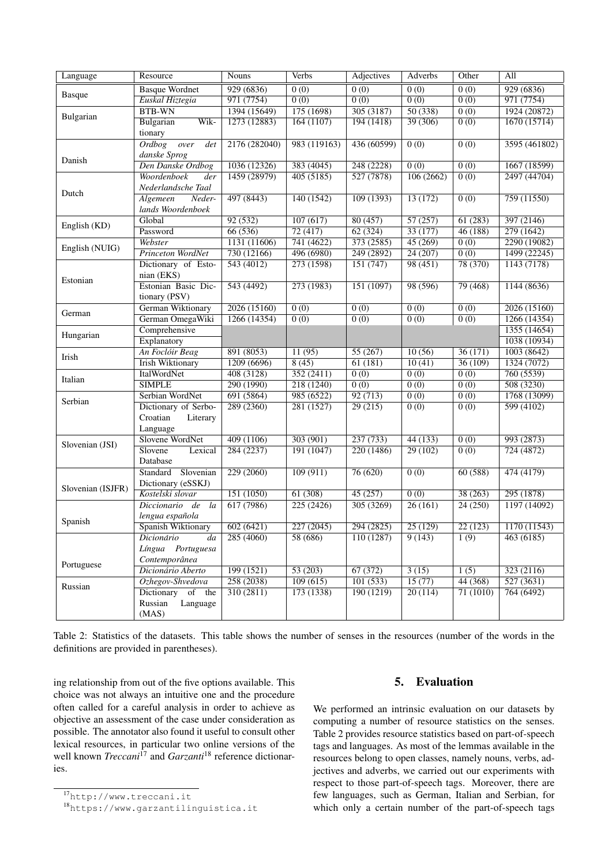<span id="page-7-3"></span>

| Language          | Resource                 | <b>Nouns</b>  | Verbs             | <b>Adjectives</b> | Adverbs           | Other             | All                    |
|-------------------|--------------------------|---------------|-------------------|-------------------|-------------------|-------------------|------------------------|
|                   | <b>Basque Wordnet</b>    | 929(6836)     | $\overline{0(0)}$ | 0(0)              | $\overline{0(0)}$ | $\overline{0(0)}$ | 929 (6836)             |
| <b>Basque</b>     | Euskal Hiztegia          | 971 (7754)    | 0(0)              | 0(0)              | 0(0)              | 0(0)              | 971 (7754)             |
| Bulgarian         | <b>BTB-WN</b>            | 1394 (15649)  | 175(1698)         | 305(3187)         | 50(338)           | $\overline{0(0)}$ | 1924 (20872)           |
|                   | Wik-<br>Bulgarian        | 1273 (12883)  | 164(1107)         | 194(1418)         | 39(306)           | $\overline{0(0)}$ | 1670(15714)            |
|                   | tionary                  |               |                   |                   |                   |                   |                        |
|                   | Ordbog<br>over<br>det    | 2176 (282040) | 983 (119163)      | 436 (60599)       | 0(0)              | $\overline{0(0)}$ | 3595 (461802)          |
| Danish            | danske Sprog             |               |                   |                   |                   |                   |                        |
|                   | Den Danske Ordbog        | 1036 (12326)  | 383(4045)         | 248(2228)         | $\overline{0(0)}$ | $\overline{0(0)}$ | 1667(18599)            |
|                   | Woordenboek<br>der       | 1459 (28979)  | 405(5185)         | 527 (7878)        | 106(2662)         | $\overline{0(0)}$ | 2497 (44704)           |
| Dutch             | Nederlandsche Taal       |               |                   |                   |                   |                   |                        |
|                   | Algemeen<br>Neder-       | 497 (8443)    | 140(1542)         | 109(1393)         | 13(172)           | $\overline{0(0)}$ | 759(11550)             |
|                   | lands Woordenboek        |               |                   |                   |                   |                   |                        |
| English (KD)      | Global                   | 92(532)       | 107(617)          | 80(457)           | 57(257)           | 61(283)           | 397(2146)              |
|                   | Password                 | 66(536)       | 72(417)           | 62(324)           | 33(177)           | 46(188)           | 279(1642)              |
| English (NUIG)    | Webster                  | 1131(11606)   | 741(4622)         | 373(2585)         | 45(269)           | $\overline{0(0)}$ | 2290(19082)            |
|                   | <b>Princeton WordNet</b> | 730(12166)    | 496 (6980)        | 249 (2892)        | 24(207)           | $\overline{0(0)}$ | 1499 (22245)           |
|                   | Dictionary of Esto-      | 543(4012)     | 273 (1598)        | 151(747)          | 98(451)           | 78 (370)          | 1143(7178)             |
| Estonian          | nian (EKS)               |               |                   |                   |                   |                   |                        |
|                   | Estonian Basic Dic-      | 543(4492)     | 273(1983)         | 151(1097)         | 98 (596)          | 79(468)           | 1144(8636)             |
|                   | tionary (PSV)            |               |                   |                   |                   |                   |                        |
| German            | German Wiktionary        | 2026 (15160)  | $\overline{0(0)}$ | 0(0)              | 0(0)              | 0(0)              | 2026 (15160)           |
|                   | German OmegaWiki         | 1266 (14354)  | 0(0)              | $\overline{0(0)}$ | 0(0)              | 0(0)              | 1266(14354)            |
| Hungarian         | Comprehensive            |               |                   |                   |                   |                   | 1355(14654)            |
|                   | Explanatory              |               |                   |                   |                   |                   | 1038 (10934)           |
| Irish             | An Foclóir Beag          | 891 (8053)    | 11(95)            | 55 (267)          | 10(56)            | 36(171)           | 1003(8642)             |
|                   | <b>Irish Wiktionary</b>  | 1209(6696)    | 8(45)             | 61(181)           | 10(41)            | 36(109)           | 1324 (7072)            |
| Italian           | <b>ItalWordNet</b>       | 408(3128)     | 352(2411)         | 0(0)              | 0(0)              | 0(0)              | 760 (5539)             |
|                   | <b>SIMPLE</b>            | 290 (1990)    | 218 (1240)        | $\overline{0(0)}$ | $\overline{0(0)}$ | $\overline{0(0)}$ | 508(3230)              |
| Serbian           | Serbian WordNet          | 691(5864)     | 985 (6522)        | 92(713)           | $\overline{0(0)}$ | $\overline{0(0)}$ | 1768 (13099)           |
|                   | Dictionary of Serbo-     | 289(2360)     | 281(1527)         | 29(215)           | $\overline{0(0)}$ | $\overline{0(0)}$ | 599(4102)              |
|                   | Croatian<br>Literary     |               |                   |                   |                   |                   |                        |
|                   | Language                 |               |                   |                   |                   |                   |                        |
| Slovenian (JSI)   | Slovene WordNet          | 409(1106)     | 303(901)          | 237(733)          | 44(133)           | $\overline{0(0)}$ | 993 (2873)             |
|                   | Slovene<br>Lexical       | 284(2237)     | 191(1047)         | 220 (1486)        | 29(102)           | 0(0)              | 724(4872)              |
|                   | Database                 |               |                   |                   |                   |                   |                        |
|                   | Slovenian<br>Standard    | 229(2060)     | 109(911)          | 76(620)           | 0(0)              | 60(588)           | 474 (4179)             |
| Slovenian (ISJFR) | Dictionary (eSSKJ)       |               |                   |                   |                   |                   |                        |
|                   | Kostelski slovar         | 151(1050)     | 61(308)           | 45(257)           | $\overline{0(0)}$ | 38(263)           | 295(1878)              |
|                   | Diccionario de<br>la     | 617(7986)     | 225(2426)         | 305(3269)         | 26(161)           | 24(250)           | 1197(14092)            |
| Spanish           | lengua española          |               |                   |                   |                   |                   |                        |
|                   | Spanish Wiktionary       | 602(6421)     | 227(2045)         | 294 (2825)        | 25(129)           | 22(123)           | 1170(11543)            |
|                   | Dicionário<br>da         | 285 (4060)    | 58(686)           | 110(1287)         | 9(143)            | 1(9)              | $\overline{463(6185)}$ |
|                   | Língua Portuguesa        |               |                   |                   |                   |                   |                        |
| Portuguese        | Contemporânea            |               |                   |                   |                   |                   |                        |
|                   | Dicionário Aberto        | 199(1521)     | 53(203)           | 67(372)           | 3(15)             | 1(5)              | 323 (2116)             |
| Russian           | Ozhegov-Shvedova         | 258 (2038)    | 109(615)          | 101(533)          | 15(77)            | 44(368)           | 527(3631)              |
|                   | Dictionary<br>of the     | 310(2811)     | 173(1338)         | 190(1219)         | 20(114)           | 71 (1010)         | 764(6492)              |
|                   | Russian<br>Language      |               |                   |                   |                   |                   |                        |
|                   | (MAS)                    |               |                   |                   |                   |                   |                        |

Table 2: Statistics of the datasets. This table shows the number of senses in the resources (number of the words in the definitions are provided in parentheses).

ing relationship from out of the five options available. This choice was not always an intuitive one and the procedure often called for a careful analysis in order to achieve as objective an assessment of the case under consideration as possible. The annotator also found it useful to consult other lexical resources, in particular two online versions of the well known *Treccani*<sup>[17](#page-7-1)</sup> and *Garzanti*<sup>[18](#page-7-2)</sup> reference dictionaries.

## 5. Evaluation

<span id="page-7-0"></span>We performed an intrinsic evaluation on our datasets by computing a number of resource statistics on the senses. Table [2](#page-7-3) provides resource statistics based on part-of-speech tags and languages. As most of the lemmas available in the resources belong to open classes, namely nouns, verbs, adjectives and adverbs, we carried out our experiments with respect to those part-of-speech tags. Moreover, there are few languages, such as German, Italian and Serbian, for which only a certain number of the part-of-speech tags

<span id="page-7-1"></span><sup>17</sup><http://www.treccani.it>

<span id="page-7-2"></span><sup>18</sup><https://www.garzantilinguistica.it>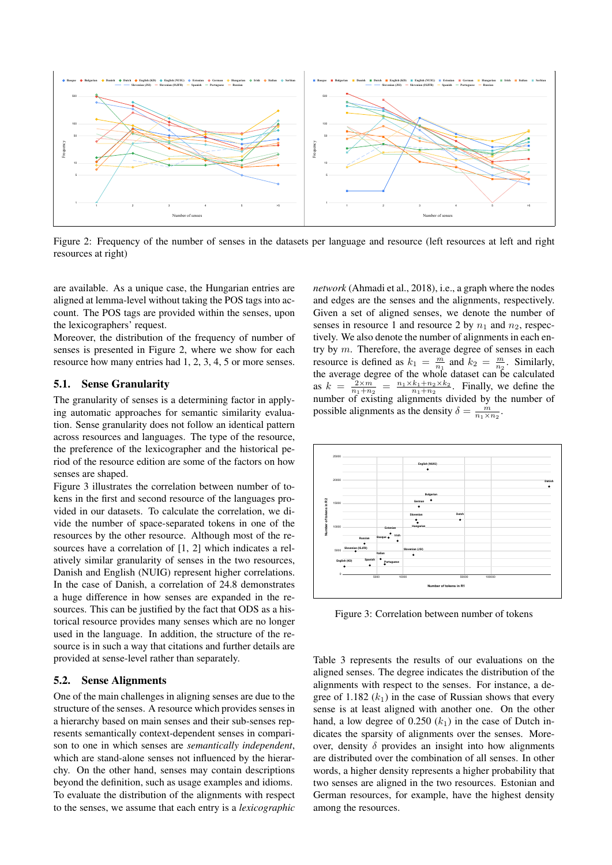<span id="page-8-0"></span>

Figure 2: Frequency of the number of senses in the datasets per language and resource (left resources at left and right resources at right)

are available. As a unique case, the Hungarian entries are aligned at lemma-level without taking the POS tags into account. The POS tags are provided within the senses, upon the lexicographers' request.

Moreover, the distribution of the frequency of number of senses is presented in Figure [2,](#page-8-0) where we show for each resource how many entries had 1, 2, 3, 4, 5 or more senses.

#### 5.1. Sense Granularity

The granularity of senses is a determining factor in applying automatic approaches for semantic similarity evaluation. Sense granularity does not follow an identical pattern across resources and languages. The type of the resource, the preference of the lexicographer and the historical period of the resource edition are some of the factors on how senses are shaped.

Figure [3](#page-8-1) illustrates the correlation between number of tokens in the first and second resource of the languages provided in our datasets. To calculate the correlation, we divide the number of space-separated tokens in one of the resources by the other resource. Although most of the resources have a correlation of [1, 2] which indicates a relatively similar granularity of senses in the two resources, Danish and English (NUIG) represent higher correlations. In the case of Danish, a correlation of 24.8 demonstrates a huge difference in how senses are expanded in the resources. This can be justified by the fact that ODS as a historical resource provides many senses which are no longer used in the language. In addition, the structure of the resource is in such a way that citations and further details are provided at sense-level rather than separately.

#### 5.2. Sense Alignments

One of the main challenges in aligning senses are due to the structure of the senses. A resource which provides senses in a hierarchy based on main senses and their sub-senses represents semantically context-dependent senses in comparison to one in which senses are *semantically independent*, which are stand-alone senses not influenced by the hierarchy. On the other hand, senses may contain descriptions beyond the definition, such as usage examples and idioms. To evaluate the distribution of the alignments with respect to the senses, we assume that each entry is a *lexicographic*

*network* [\(Ahmadi et al., 2018\)](#page-10-29), i.e., a graph where the nodes and edges are the senses and the alignments, respectively. Given a set of aligned senses, we denote the number of senses in resource 1 and resource 2 by  $n_1$  and  $n_2$ , respectively. We also denote the number of alignments in each entry by m. Therefore, the average degree of senses in each resource is defined as  $k_1 = \frac{m}{n_1}$  and  $k_2 = \frac{m}{n_2}$ . Similarly, the average degree of the whole dataset can be calculated as  $k = \frac{2 \times m}{n_1+n_2} = \frac{n_1 \times k_1+n_2 \times k_2}{n_1+n_2}$ . Finally, we define the number of existing alignments divided by the number of possible alignments as the density  $\delta = \frac{m}{n_1 \times n_2}$ .

<span id="page-8-1"></span>

Figure 3: Correlation between number of tokens

Table [3](#page-9-1) represents the results of our evaluations on the aligned senses. The degree indicates the distribution of the alignments with respect to the senses. For instance, a degree of 1.182  $(k_1)$  in the case of Russian shows that every sense is at least aligned with another one. On the other hand, a low degree of  $0.250 (k_1)$  in the case of Dutch indicates the sparsity of alignments over the senses. Moreover, density  $\delta$  provides an insight into how alignments are distributed over the combination of all senses. In other words, a higher density represents a higher probability that two senses are aligned in the two resources. Estonian and German resources, for example, have the highest density among the resources.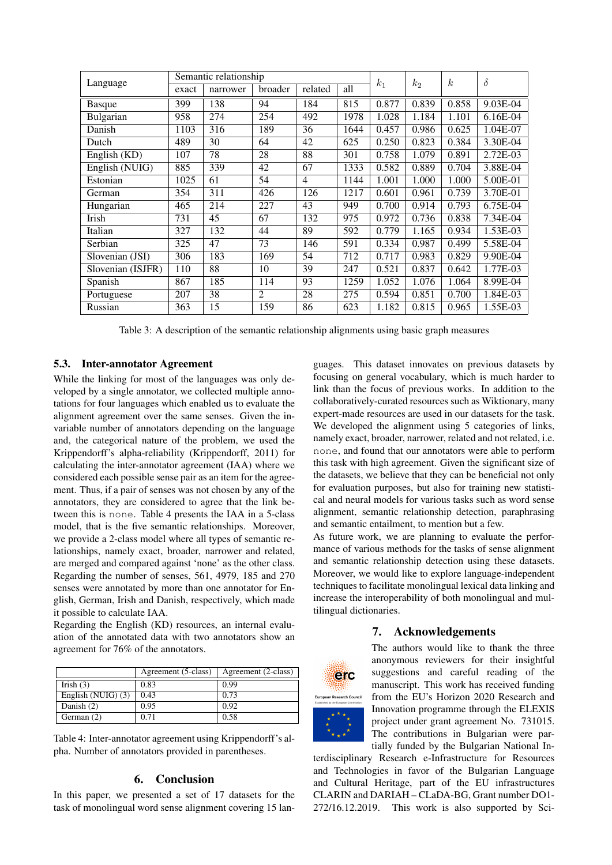<span id="page-9-1"></span>

| Language          | Semantic relationship |          |                |                |      | k <sub>1</sub> | $k_2$ | $\kappa$ | $\delta$   |
|-------------------|-----------------------|----------|----------------|----------------|------|----------------|-------|----------|------------|
|                   | exact                 | narrower | broader        | related        | all  |                |       |          |            |
| <b>Basque</b>     | 399                   | 138      | 94             | 184            | 815  | 0.877          | 0.839 | 0.858    | 9.03E-04   |
| Bulgarian         | 958                   | 274      | 254            | 492            | 1978 | 1.028          | 1.184 | 1.101    | $6.16E-04$ |
| Danish            | 1103                  | 316      | 189            | 36             | 1644 | 0.457          | 0.986 | 0.625    | 1.04E-07   |
| Dutch             | 489                   | 30       | 64             | 42             | 625  | 0.250          | 0.823 | 0.384    | 3.30E-04   |
| English (KD)      | 107                   | 78       | 28             | 88             | 301  | 0.758          | 1.079 | 0.891    | 2.72E-03   |
| English (NUIG)    | 885                   | 339      | 42             | 67             | 1333 | 0.582          | 0.889 | 0.704    | 3.88E-04   |
| Estonian          | 1025                  | 61       | 54             | $\overline{4}$ | 1144 | 1.001          | 1.000 | 1.000    | 5.00E-01   |
| German            | 354                   | 311      | 426            | 126            | 1217 | 0.601          | 0.961 | 0.739    | 3.70E-01   |
| Hungarian         | 465                   | 214      | 227            | 43             | 949  | 0.700          | 0.914 | 0.793    | 6.75E-04   |
| Irish             | 731                   | 45       | 67             | 132            | 975  | 0.972          | 0.736 | 0.838    | 7.34E-04   |
| Italian           | 327                   | 132      | 44             | 89             | 592  | 0.779          | 1.165 | 0.934    | 1.53E-03   |
| Serbian           | 325                   | 47       | 73             | 146            | 591  | 0.334          | 0.987 | 0.499    | 5.58E-04   |
| Slovenian (JSI)   | 306                   | 183      | 169            | 54             | 712  | 0.717          | 0.983 | 0.829    | 9.90E-04   |
| Slovenian (ISJFR) | 110                   | 88       | 10             | 39             | 247  | 0.521          | 0.837 | 0.642    | 1.77E-03   |
| Spanish           | 867                   | 185      | 114            | 93             | 1259 | 1.052          | 1.076 | 1.064    | 8.99E-04   |
| Portuguese        | 207                   | 38       | $\mathfrak{D}$ | 28             | 275  | 0.594          | 0.851 | 0.700    | 1.84E-03   |
| Russian           | 363                   | 15       | 159            | 86             | 623  | 1.182          | 0.815 | 0.965    | 1.55E-03   |

Table 3: A description of the semantic relationship alignments using basic graph measures

### 5.3. Inter-annotator Agreement

While the linking for most of the languages was only developed by a single annotator, we collected multiple annotations for four languages which enabled us to evaluate the alignment agreement over the same senses. Given the invariable number of annotators depending on the language and, the categorical nature of the problem, we used the Krippendorff's alpha-reliability [\(Krippendorff, 2011\)](#page-10-30) for calculating the inter-annotator agreement (IAA) where we considered each possible sense pair as an item for the agreement. Thus, if a pair of senses was not chosen by any of the annotators, they are considered to agree that the link between this is none. Table [4](#page-9-2) presents the IAA in a 5-class model, that is the five semantic relationships. Moreover, we provide a 2-class model where all types of semantic relationships, namely exact, broader, narrower and related, are merged and compared against 'none' as the other class. Regarding the number of senses, 561, 4979, 185 and 270 senses were annotated by more than one annotator for English, German, Irish and Danish, respectively, which made it possible to calculate IAA.

Regarding the English (KD) resources, an internal evaluation of the annotated data with two annotators show an agreement for 76% of the annotators.

<span id="page-9-2"></span>

|                      | Agreement (5-class) | Agreement (2-class) |
|----------------------|---------------------|---------------------|
| Irish $(3)$          | 0.83                | 0.99                |
| English (NUIG) $(3)$ | 0.43                | 0.73                |
| Danish (2)           | 0.95                | 0.92                |
| German $(2)$         | O 71                | 0.58                |

Table 4: Inter-annotator agreement using Krippendorff's alpha. Number of annotators provided in parentheses.

### 6. Conclusion

<span id="page-9-0"></span>In this paper, we presented a set of 17 datasets for the task of monolingual word sense alignment covering 15 languages. This dataset innovates on previous datasets by focusing on general vocabulary, which is much harder to link than the focus of previous works. In addition to the collaboratively-curated resources such as Wiktionary, many expert-made resources are used in our datasets for the task. We developed the alignment using 5 categories of links, namely exact, broader, narrower, related and not related, i.e. none, and found that our annotators were able to perform this task with high agreement. Given the significant size of the datasets, we believe that they can be beneficial not only for evaluation purposes, but also for training new statistical and neural models for various tasks such as word sense alignment, semantic relationship detection, paraphrasing and semantic entailment, to mention but a few.

As future work, we are planning to evaluate the performance of various methods for the tasks of sense alignment and semantic relationship detection using these datasets. Moreover, we would like to explore language-independent techniques to facilitate monolingual lexical data linking and increase the interoperability of both monolingual and multilingual dictionaries.

#### 7. Acknowledgements



The authors would like to thank the three anonymous reviewers for their insightful suggestions and careful reading of the manuscript. This work has received funding from the EU's Horizon 2020 Research and Innovation programme through the ELEXIS project under grant agreement No. 731015. The contributions in Bulgarian were partially funded by the Bulgarian National In-

terdisciplinary Research e-Infrastructure for Resources and Technologies in favor of the Bulgarian Language and Cultural Heritage, part of the EU infrastructures CLARIN and DARIAH – CLaDA-BG, Grant number DO1- 272/16.12.2019. This work is also supported by Sci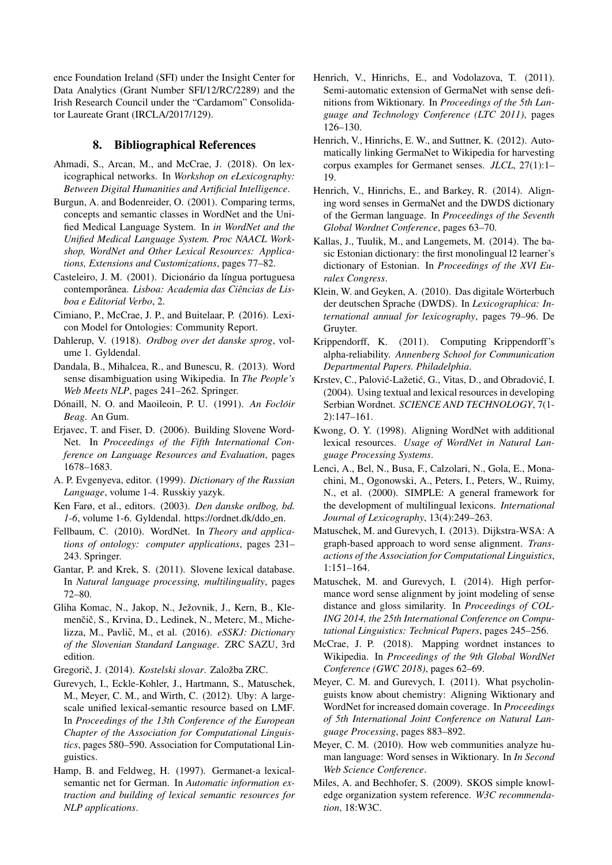ence Foundation Ireland (SFI) under the Insight Center for Data Analytics (Grant Number SFI/12/RC/2289) and the Irish Research Council under the "Cardamom" Consolidator Laureate Grant (IRCLA/2017/129).

# 8. Bibliographical References

- <span id="page-10-29"></span>Ahmadi, S., Arcan, M., and McCrae, J. (2018). On lexicographical networks. In *Workshop on eLexicography: Between Digital Humanities and Artificial Intelligence*.
- <span id="page-10-11"></span>Burgun, A. and Bodenreider, O. (2001). Comparing terms, concepts and semantic classes in WordNet and the Unified Medical Language System. In *in WordNet and the Unified Medical Language System. Proc NAACL Workshop, WordNet and Other Lexical Resources: Applications, Extensions and Customizations*, pages 77–82.
- <span id="page-10-27"></span>Casteleiro, J. M. (2001). Dicionário da língua portuguesa contemporanea. ˆ *Lisboa: Academia das Ciencias de Lis- ˆ boa e Editorial Verbo*, 2.
- <span id="page-10-14"></span>Cimiano, P., McCrae, J. P., and Buitelaar, P. (2016). Lexicon Model for Ontologies: Community Report.
- <span id="page-10-16"></span>Dahlerup, V. (1918). *Ordbog over det danske sprog*, volume 1. Gyldendal.
- <span id="page-10-1"></span>Dandala, B., Mihalcea, R., and Bunescu, R. (2013). Word sense disambiguation using Wikipedia. In *The People's Web Meets NLP*, pages 241–262. Springer.
- <span id="page-10-20"></span>Dónaill, N. O. and Maoileoin, P. U. (1991). An Foclóir *Beag*. An Gum.
- <span id="page-10-23"></span>Erjavec, T. and Fiser, D. (2006). Building Slovene Word-Net. In *Proceedings of the Fifth International Conference on Language Resources and Evaluation*, pages 1678–1683.
- <span id="page-10-28"></span>A. P. Evgenyeva, editor. (1999). *Dictionary of the Russian Language*, volume 1-4. Russkiy yazyk.
- <span id="page-10-17"></span>Ken Farø, et al., editors. (2003). *Den danske ordbog, bd.* 1-6, volume 1-6. Gyldendal. https://ordnet.dk/ddo\_en.
- <span id="page-10-18"></span>Fellbaum, C. (2010). WordNet. In *Theory and applications of ontology: computer applications*, pages 231– 243. Springer.
- <span id="page-10-24"></span>Gantar, P. and Krek, S. (2011). Slovene lexical database. In *Natural language processing, multilinguality*, pages 72–80.
- <span id="page-10-25"></span>Gliha Komac, N., Jakop, N., Ježovnik, J., Kern, B., Klemenčič, S., Krvina, D., Ledinek, N., Meterc, M., Michelizza, M., Pavlič, M., et al. (2016). eSSKJ: Dictionary *of the Slovenian Standard Language*. ZRC SAZU, 3rd edition.
- <span id="page-10-26"></span>Gregorič, J. (2014). Kostelski slovar. Založba ZRC.
- <span id="page-10-0"></span>Gurevych, I., Eckle-Kohler, J., Hartmann, S., Matuschek, M., Meyer, C. M., and Wirth, C. (2012). Uby: A largescale unified lexical-semantic resource based on LMF. In *Proceedings of the 13th Conference of the European Chapter of the Association for Computational Linguistics*, pages 580–590. Association for Computational Linguistics.
- <span id="page-10-5"></span>Hamp, B. and Feldweg, H. (1997). Germanet-a lexicalsemantic net for German. In *Automatic information extraction and building of lexical semantic resources for NLP applications*.
- <span id="page-10-6"></span>Henrich, V., Hinrichs, E., and Vodolazova, T. (2011). Semi-automatic extension of GermaNet with sense definitions from Wiktionary. In *Proceedings of the 5th Language and Technology Conference (LTC 2011)*, pages 126–130.
- <span id="page-10-7"></span>Henrich, V., Hinrichs, E. W., and Suttner, K. (2012). Automatically linking GermaNet to Wikipedia for harvesting corpus examples for Germanet senses. *JLCL*, 27(1):1– 19.
- <span id="page-10-9"></span>Henrich, V., Hinrichs, E., and Barkey, R. (2014). Aligning word senses in GermaNet and the DWDS dictionary of the German language. In *Proceedings of the Seventh Global Wordnet Conference*, pages 63–70.
- <span id="page-10-19"></span>Kallas, J., Tuulik, M., and Langemets, M. (2014). The basic Estonian dictionary: the first monolingual l2 learner's dictionary of Estonian. In *Proceedings of the XVI Euralex Congress*.
- <span id="page-10-8"></span>Klein, W. and Geyken, A. (2010). Das digitale Wörterbuch der deutschen Sprache (DWDS). In *Lexicographica: International annual for lexicography*, pages 79–96. De Gruyter.
- <span id="page-10-30"></span>Krippendorff, K. (2011). Computing Krippendorff's alpha-reliability. *Annenberg School for Communication Departmental Papers. Philadelphia*.
- <span id="page-10-22"></span>Krstev, C., Palović-Lažetić, G., Vitas, D., and Obradović, I. (2004). Using textual and lexical resources in developing Serbian Wordnet. *SCIENCE AND TECHNOLOGY*, 7(1- 2):147–161.
- <span id="page-10-3"></span>Kwong, O. Y. (1998). Aligning WordNet with additional lexical resources. *Usage of WordNet in Natural Language Processing Systems*.
- <span id="page-10-21"></span>Lenci, A., Bel, N., Busa, F., Calzolari, N., Gola, E., Monachini, M., Ogonowski, A., Peters, I., Peters, W., Ruimy, N., et al. (2000). SIMPLE: A general framework for the development of multilingual lexicons. *International Journal of Lexicography*, 13(4):249–263.
- <span id="page-10-12"></span>Matuschek, M. and Gurevych, I. (2013). Dijkstra-WSA: A graph-based approach to word sense alignment. *Transactions of the Association for Computational Linguistics*, 1:151–164.
- <span id="page-10-13"></span>Matuschek, M. and Gurevych, I. (2014). High performance word sense alignment by joint modeling of sense distance and gloss similarity. In *Proceedings of COL-ING 2014, the 25th International Conference on Computational Linguistics: Technical Papers*, pages 245–256.
- <span id="page-10-2"></span>McCrae, J. P. (2018). Mapping wordnet instances to Wikipedia. In *Proceedings of the 9th Global WordNet Conference (GWC 2018)*, pages 62–69.
- <span id="page-10-4"></span>Meyer, C. M. and Gurevych, I. (2011). What psycholinguists know about chemistry: Aligning Wiktionary and WordNet for increased domain coverage. In *Proceedings of 5th International Joint Conference on Natural Language Processing*, pages 883–892.
- <span id="page-10-10"></span>Meyer, C. M. (2010). How web communities analyze human language: Word senses in Wiktionary. In *In Second Web Science Conference*.
- <span id="page-10-15"></span>Miles, A. and Bechhofer, S. (2009). SKOS simple knowledge organization system reference. *W3C recommendation*, 18:W3C.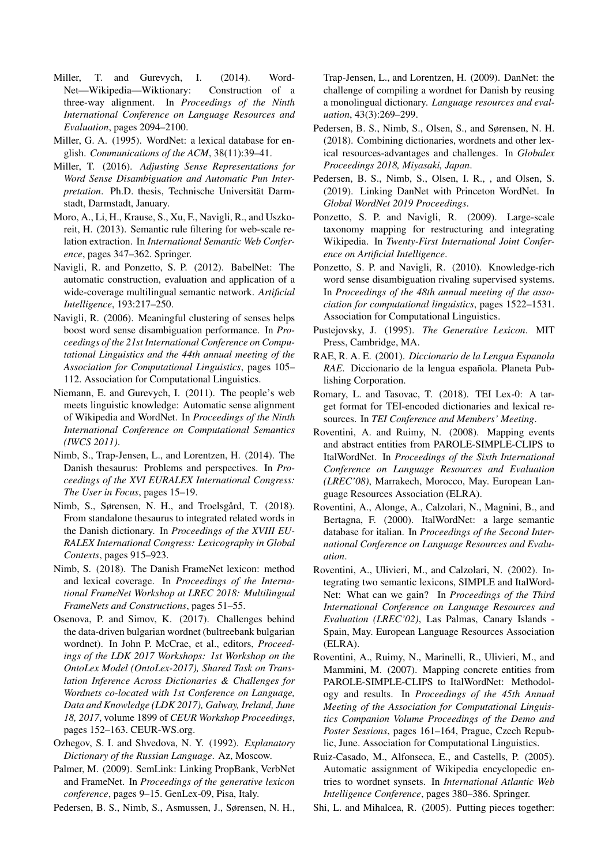- <span id="page-11-14"></span>Miller, T. and Gurevych, I. (2014). Word-Net—Wikipedia—Wiktionary: Construction of a three-way alignment. In *Proceedings of the Ninth International Conference on Language Resources and Evaluation*, pages 2094–2100.
- <span id="page-11-16"></span>Miller, G. A. (1995). WordNet: a lexical database for english. *Communications of the ACM*, 38(11):39–41.
- <span id="page-11-13"></span>Miller, T. (2016). *Adjusting Sense Representations for Word Sense Disambiguation and Automatic Pun Interpretation*. Ph.D. thesis, Technische Universität Darmstadt, Darmstadt, January.
- <span id="page-11-2"></span>Moro, A., Li, H., Krause, S., Xu, F., Navigli, R., and Uszkoreit, H. (2013). Semantic rule filtering for web-scale relation extraction. In *International Semantic Web Conference*, pages 347–362. Springer.
- <span id="page-11-0"></span>Navigli, R. and Ponzetto, S. P. (2012). BabelNet: The automatic construction, evaluation and application of a wide-coverage multilingual semantic network. *Artificial Intelligence*, 193:217–250.
- <span id="page-11-7"></span>Navigli, R. (2006). Meaningful clustering of senses helps boost word sense disambiguation performance. In *Proceedings of the 21st International Conference on Computational Linguistics and the 44th annual meeting of the Association for Computational Linguistics*, pages 105– 112. Association for Computational Linguistics.
- <span id="page-11-6"></span>Niemann, E. and Gurevych, I. (2011). The people's web meets linguistic knowledge: Automatic sense alignment of Wikipedia and WordNet. In *Proceedings of the Ninth International Conference on Computational Semantics (IWCS 2011)*.
- <span id="page-11-10"></span>Nimb, S., Trap-Jensen, L., and Lorentzen, H. (2014). The Danish thesaurus: Problems and perspectives. In *Proceedings of the XVI EURALEX International Congress: The User in Focus*, pages 15–19.
- <span id="page-11-12"></span>Nimb, S., Sørensen, N. H., and Troelsgård, T. (2018). From standalone thesaurus to integrated related words in the Danish dictionary. In *Proceedings of the XVIII EU-RALEX International Congress: Lexicography in Global Contexts*, pages 915–923.
- <span id="page-11-11"></span>Nimb, S. (2018). The Danish FrameNet lexicon: method and lexical coverage. In *Proceedings of the International FrameNet Workshop at LREC 2018: Multilingual FrameNets and Constructions*, pages 51–55.
- <span id="page-11-18"></span>Osenova, P. and Simov, K. (2017). Challenges behind the data-driven bulgarian wordnet (bultreebank bulgarian wordnet). In John P. McCrae, et al., editors, *Proceedings of the LDK 2017 Workshops: 1st Workshop on the OntoLex Model (OntoLex-2017), Shared Task on Translation Inference Across Dictionaries & Challenges for Wordnets co-located with 1st Conference on Language, Data and Knowledge (LDK 2017), Galway, Ireland, June 18, 2017*, volume 1899 of *CEUR Workshop Proceedings*, pages 152–163. CEUR-WS.org.
- <span id="page-11-22"></span>Ozhegov, S. I. and Shvedova, N. Y. (1992). *Explanatory Dictionary of the Russian Language*. Az, Moscow.
- <span id="page-11-1"></span>Palmer, M. (2009). SemLink: Linking PropBank, VerbNet and FrameNet. In *Proceedings of the generative lexicon conference*, pages 9–15. GenLex-09, Pisa, Italy.
- <span id="page-11-9"></span>Pedersen, B. S., Nimb, S., Asmussen, J., Sørensen, N. H.,

Trap-Jensen, L., and Lorentzen, H. (2009). DanNet: the challenge of compiling a wordnet for Danish by reusing a monolingual dictionary. *Language resources and evaluation*, 43(3):269–299.

- <span id="page-11-8"></span>Pedersen, B. S., Nimb, S., Olsen, S., and Sørensen, N. H. (2018). Combining dictionaries, wordnets and other lexical resources-advantages and challenges. In *Globalex Proceedings 2018, Miyasaki, Japan*.
- <span id="page-11-19"></span>Pedersen, B. S., Nimb, S., Olsen, I. R., , and Olsen, S. (2019). Linking DanNet with Princeton WordNet. In *Global WordNet 2019 Proceedings*.
- <span id="page-11-15"></span>Ponzetto, S. P. and Navigli, R. (2009). Large-scale taxonomy mapping for restructuring and integrating Wikipedia. In *Twenty-First International Joint Conference on Artificial Intelligence*.
- <span id="page-11-4"></span>Ponzetto, S. P. and Navigli, R. (2010). Knowledge-rich word sense disambiguation rivaling supervised systems. In *Proceedings of the 48th annual meeting of the association for computational linguistics*, pages 1522–1531. Association for Computational Linguistics.
- <span id="page-11-23"></span>Pustejovsky, J. (1995). *The Generative Lexicon*. MIT Press, Cambridge, MA.
- <span id="page-11-21"></span>RAE, R. A. E. (2001). *Diccionario de la Lengua Espanola RAE*. Diccionario de la lengua española. Planeta Publishing Corporation.
- <span id="page-11-17"></span>Romary, L. and Tasovac, T. (2018). TEI Lex-0: A target format for TEI-encoded dictionaries and lexical resources. In *TEI Conference and Members' Meeting*.
- <span id="page-11-26"></span>Roventini, A. and Ruimy, N. (2008). Mapping events and abstract entities from PAROLE-SIMPLE-CLIPS to ItalWordNet. In *Proceedings of the Sixth International Conference on Language Resources and Evaluation (LREC'08)*, Marrakech, Morocco, May. European Language Resources Association (ELRA).
- <span id="page-11-20"></span>Roventini, A., Alonge, A., Calzolari, N., Magnini, B., and Bertagna, F. (2000). ItalWordNet: a large semantic database for italian. In *Proceedings of the Second International Conference on Language Resources and Evaluation*.
- <span id="page-11-24"></span>Roventini, A., Ulivieri, M., and Calzolari, N. (2002). Integrating two semantic lexicons, SIMPLE and ItalWord-Net: What can we gain? In *Proceedings of the Third International Conference on Language Resources and Evaluation (LREC'02)*, Las Palmas, Canary Islands - Spain, May. European Language Resources Association (ELRA).
- <span id="page-11-25"></span>Roventini, A., Ruimy, N., Marinelli, R., Ulivieri, M., and Mammini, M. (2007). Mapping concrete entities from PAROLE-SIMPLE-CLIPS to ItalWordNet: Methodology and results. In *Proceedings of the 45th Annual Meeting of the Association for Computational Linguistics Companion Volume Proceedings of the Demo and Poster Sessions*, pages 161–164, Prague, Czech Republic, June. Association for Computational Linguistics.
- <span id="page-11-5"></span>Ruiz-Casado, M., Alfonseca, E., and Castells, P. (2005). Automatic assignment of Wikipedia encyclopedic entries to wordnet synsets. In *International Atlantic Web Intelligence Conference*, pages 380–386. Springer.
- <span id="page-11-3"></span>Shi, L. and Mihalcea, R. (2005). Putting pieces together: